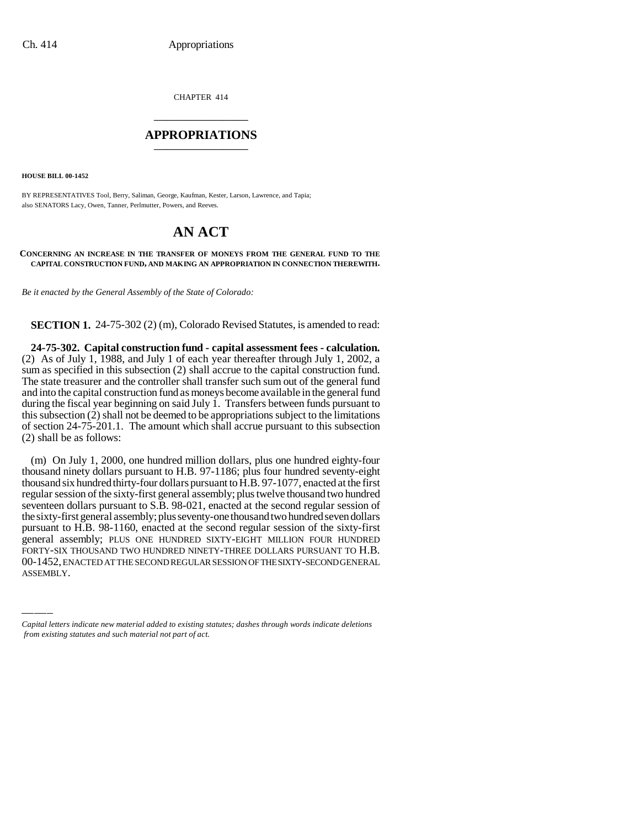CHAPTER 414 \_\_\_\_\_\_\_\_\_\_\_\_\_\_\_

## **APPROPRIATIONS** \_\_\_\_\_\_\_\_\_\_\_\_\_\_\_

**HOUSE BILL 00-1452**

BY REPRESENTATIVES Tool, Berry, Saliman, George, Kaufman, Kester, Larson, Lawrence, and Tapia; also SENATORS Lacy, Owen, Tanner, Perlmutter, Powers, and Reeves.

## **AN ACT**

## **CONCERNING AN INCREASE IN THE TRANSFER OF MONEYS FROM THE GENERAL FUND TO THE CAPITAL CONSTRUCTION FUND, AND MAKING AN APPROPRIATION IN CONNECTION THEREWITH.**

*Be it enacted by the General Assembly of the State of Colorado:*

**SECTION 1.** 24-75-302 (2) (m), Colorado Revised Statutes, is amended to read:

**24-75-302. Capital construction fund - capital assessment fees - calculation.** (2) As of July 1, 1988, and July 1 of each year thereafter through July 1, 2002, a sum as specified in this subsection (2) shall accrue to the capital construction fund. The state treasurer and the controller shall transfer such sum out of the general fund and into the capital construction fund as moneys become available in the general fund during the fiscal year beginning on said July 1. Transfers between funds pursuant to this subsection (2) shall not be deemed to be appropriations subject to the limitations of section 24-75-201.1. The amount which shall accrue pursuant to this subsection (2) shall be as follows:

pursuant to 11.B. 56-1100, enacted at the second regular session of the staty-rifst<br>general assembly; PLUS ONE HUNDRED SIXTY-EIGHT MILLION FOUR HUNDRED (m) On July 1, 2000, one hundred million dollars, plus one hundred eighty-four thousand ninety dollars pursuant to H.B. 97-1186; plus four hundred seventy-eight thousand six hundred thirty-four dollars pursuant to H.B. 97-1077, enacted at the first regular session of the sixty-first general assembly; plus twelve thousand two hundred seventeen dollars pursuant to S.B. 98-021, enacted at the second regular session of the sixty-first general assembly; plus seventy-one thousand two hundred seven dollars pursuant to H.B. 98-1160, enacted at the second regular session of the sixty-first FORTY-SIX THOUSAND TWO HUNDRED NINETY-THREE DOLLARS PURSUANT TO H.B. 00-1452, ENACTED AT THE SECOND REGULAR SESSION OF THE SIXTY-SECOND GENERAL ASSEMBLY.

*Capital letters indicate new material added to existing statutes; dashes through words indicate deletions from existing statutes and such material not part of act.*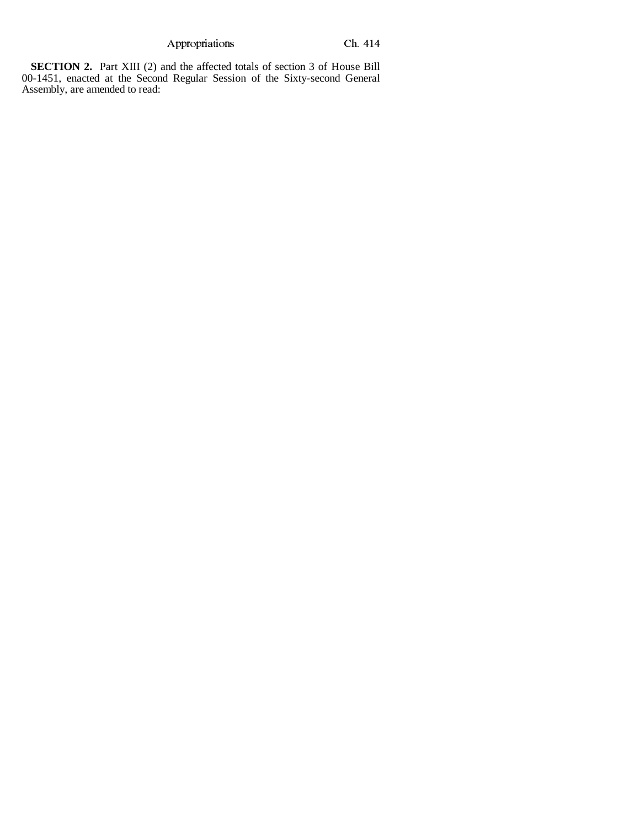Appropriations Ch. 414

**SECTION 2.** Part XIII (2) and the affected totals of section 3 of House Bill 00-1451, enacted at the Second Regular Session of the Sixty-second General Assembly, are amended to read: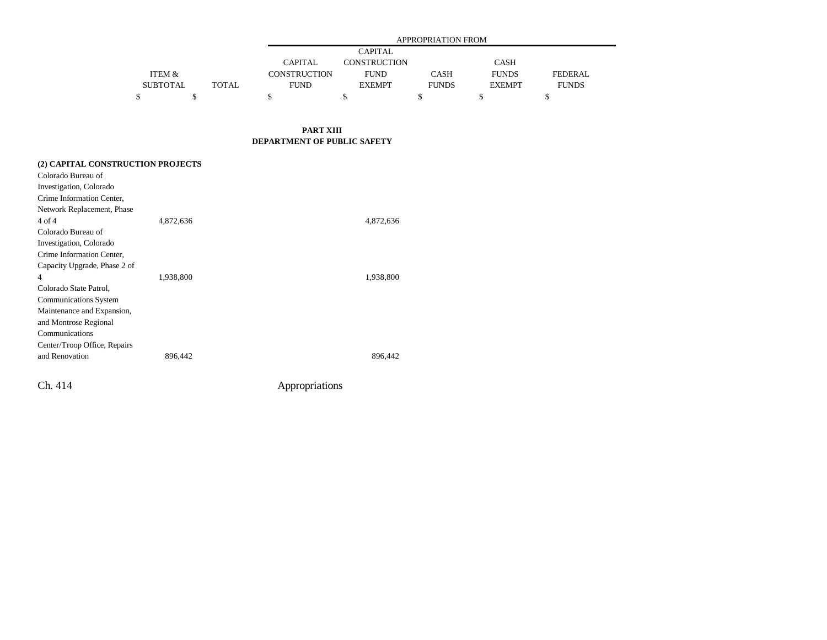|                 |       | <b>APPROPRIATION FROM</b> |               |              |               |                |  |  |
|-----------------|-------|---------------------------|---------------|--------------|---------------|----------------|--|--|
|                 |       | <b>CAPITAL</b>            |               |              |               |                |  |  |
|                 |       | <b>CAPITAL</b>            | CONSTRUCTION  |              | <b>CASH</b>   |                |  |  |
| ITEM &          |       | CONSTRUCTION              | <b>FUND</b>   | CASH         | <b>FUNDS</b>  | <b>FEDERAL</b> |  |  |
| <b>SUBTOTAL</b> | TOTAL | <b>FUND</b>               | <b>EXEMPT</b> | <b>FUNDS</b> | <b>EXEMPT</b> | <b>FUNDS</b>   |  |  |
|                 |       |                           |               |              |               |                |  |  |

**PART XIII DEPARTMENT OF PUBLIC SAFETY**

| (2) CAPITAL CONSTRUCTION PROJECTS |           |           |
|-----------------------------------|-----------|-----------|
| Colorado Bureau of                |           |           |
| Investigation, Colorado           |           |           |
| Crime Information Center,         |           |           |
| Network Replacement, Phase        |           |           |
| 4 of 4                            | 4,872,636 | 4,872,636 |
| Colorado Bureau of                |           |           |
| Investigation, Colorado           |           |           |
| Crime Information Center,         |           |           |
| Capacity Upgrade, Phase 2 of      |           |           |
| 4                                 | 1,938,800 | 1,938,800 |
| Colorado State Patrol,            |           |           |
| Communications System             |           |           |
| Maintenance and Expansion,        |           |           |
| and Montrose Regional             |           |           |
| Communications                    |           |           |
| Center/Troop Office, Repairs      |           |           |
| and Renovation                    | 896,442   | 896,442   |
|                                   |           |           |

Ch. 414 Appropriations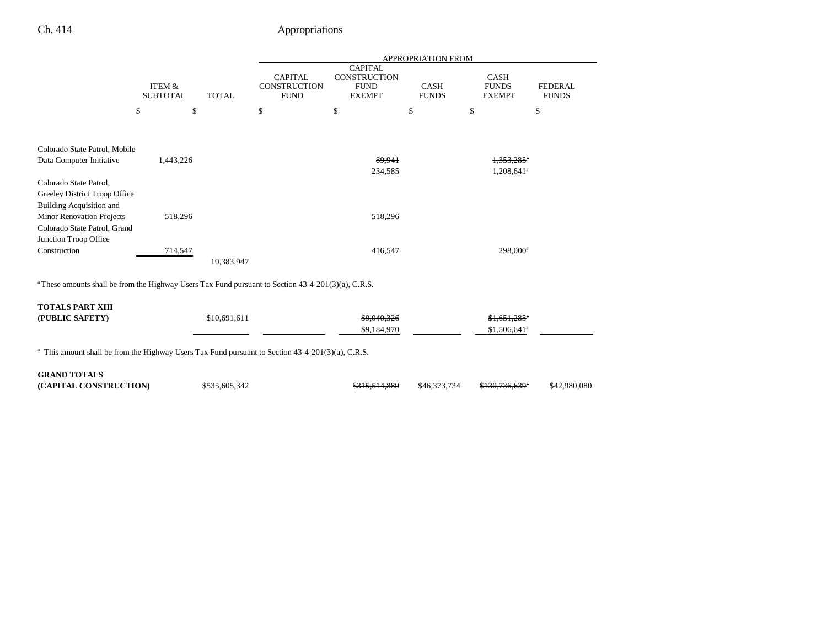## Ch. 414 Appropriations

|                                                                                                                 |                                      | APPROPRIATION FROM |                                               |                                                                |                             |                                              |                                |
|-----------------------------------------------------------------------------------------------------------------|--------------------------------------|--------------------|-----------------------------------------------|----------------------------------------------------------------|-----------------------------|----------------------------------------------|--------------------------------|
|                                                                                                                 | <b>ITEM &amp;</b><br><b>SUBTOTAL</b> | <b>TOTAL</b>       | <b>CAPITAL</b><br>CONSTRUCTION<br><b>FUND</b> | <b>CAPITAL</b><br>CONSTRUCTION<br><b>FUND</b><br><b>EXEMPT</b> | <b>CASH</b><br><b>FUNDS</b> | <b>CASH</b><br><b>FUNDS</b><br><b>EXEMPT</b> | <b>FEDERAL</b><br><b>FUNDS</b> |
|                                                                                                                 | \$<br>\$                             |                    | \$                                            | \$                                                             | \$                          | \$                                           | \$                             |
| Colorado State Patrol, Mobile                                                                                   |                                      |                    |                                               |                                                                |                             |                                              |                                |
| Data Computer Initiative                                                                                        | 1,443,226                            |                    |                                               | 89.941                                                         |                             | $1.353.285$ <sup>*</sup>                     |                                |
|                                                                                                                 |                                      |                    |                                               | 234,585                                                        |                             | $1,208,641$ <sup>a</sup>                     |                                |
| Colorado State Patrol,                                                                                          |                                      |                    |                                               |                                                                |                             |                                              |                                |
| Greeley District Troop Office<br><b>Building Acquisition and</b>                                                |                                      |                    |                                               |                                                                |                             |                                              |                                |
| <b>Minor Renovation Projects</b>                                                                                | 518,296                              |                    |                                               | 518,296                                                        |                             |                                              |                                |
| Colorado State Patrol, Grand                                                                                    |                                      |                    |                                               |                                                                |                             |                                              |                                |
| Junction Troop Office                                                                                           |                                      |                    |                                               |                                                                |                             |                                              |                                |
| Construction                                                                                                    | 714,547                              |                    |                                               | 416,547                                                        |                             | $298,000^a$                                  |                                |
|                                                                                                                 |                                      | 10,383,947         |                                               |                                                                |                             |                                              |                                |
| <sup>a</sup> These amounts shall be from the Highway Users Tax Fund pursuant to Section 43-4-201(3)(a), C.R.S.  |                                      |                    |                                               |                                                                |                             |                                              |                                |
| <b>TOTALS PART XIII</b>                                                                                         |                                      |                    |                                               |                                                                |                             |                                              |                                |
| (PUBLIC SAFETY)                                                                                                 |                                      | \$10,691,611       |                                               | \$9,040,326                                                    |                             | $$1.651.285$ <sup>*</sup>                    |                                |
|                                                                                                                 |                                      |                    |                                               | \$9,184,970                                                    |                             | $$1,506,641$ <sup>a</sup>                    |                                |
| <sup>a</sup> This amount shall be from the Highway Users Tax Fund pursuant to Section $43-4-201(3)(a)$ , C.R.S. |                                      |                    |                                               |                                                                |                             |                                              |                                |
| <b>GRAND TOTALS</b>                                                                                             |                                      |                    |                                               |                                                                |                             |                                              |                                |
| (CAPITAL CONSTRUCTION)                                                                                          |                                      | \$535,605,342      |                                               | <del>\$315.514.889</del>                                       | \$46,373,734                | <del>\$130,736,639</del>                     | \$42,980,080                   |